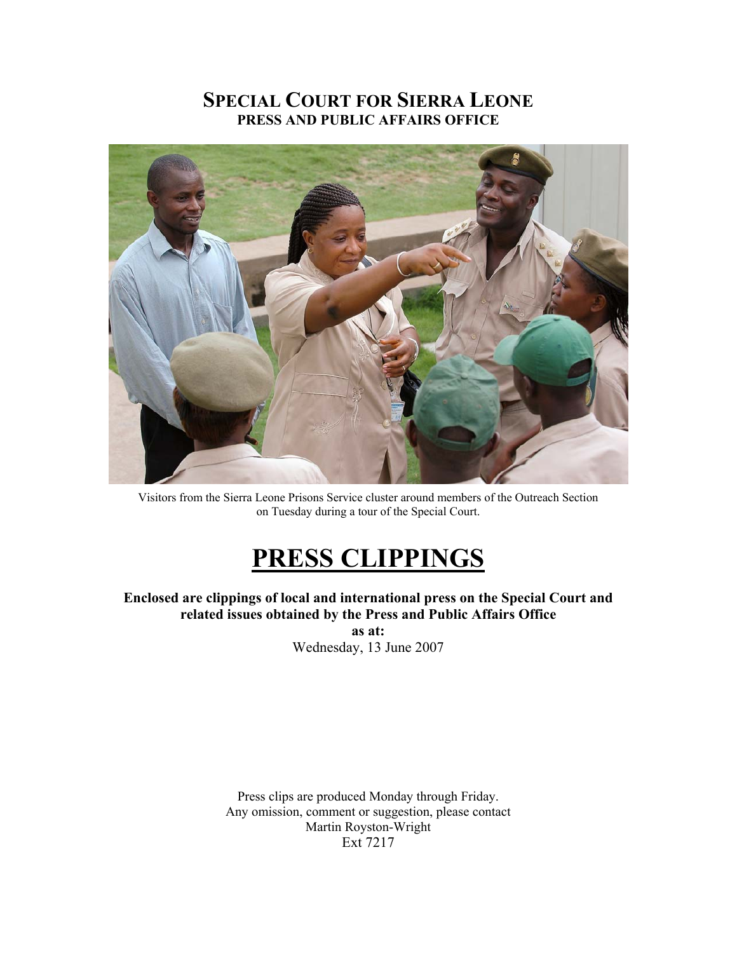# **SPECIAL COURT FOR SIERRA LEONE PRESS AND PUBLIC AFFAIRS OFFICE**



Visitors from the Sierra Leone Prisons Service cluster around members of the Outreach Section on Tuesday during a tour of the Special Court.

# **PRESS CLIPPINGS**

### **Enclosed are clippings of local and international press on the Special Court and related issues obtained by the Press and Public Affairs Office**

**as at:**  Wednesday, 13 June 2007

Press clips are produced Monday through Friday. Any omission, comment or suggestion, please contact Martin Royston-Wright Ext 7217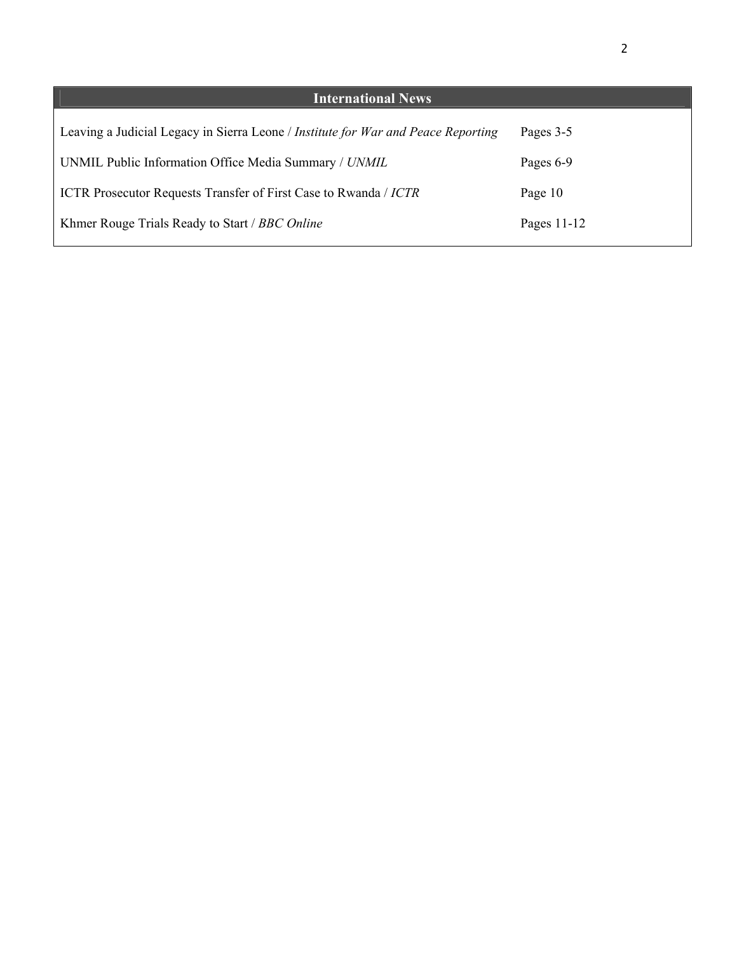| <b>International News</b>                                                         |             |
|-----------------------------------------------------------------------------------|-------------|
| Leaving a Judicial Legacy in Sierra Leone / Institute for War and Peace Reporting | Pages 3-5   |
| UNMIL Public Information Office Media Summary / UNMIL                             | Pages 6-9   |
| <b>ICTR</b> Prosecutor Requests Transfer of First Case to Rwanda / <i>ICTR</i>    | Page 10     |
| Khmer Rouge Trials Ready to Start / BBC Online                                    | Pages 11-12 |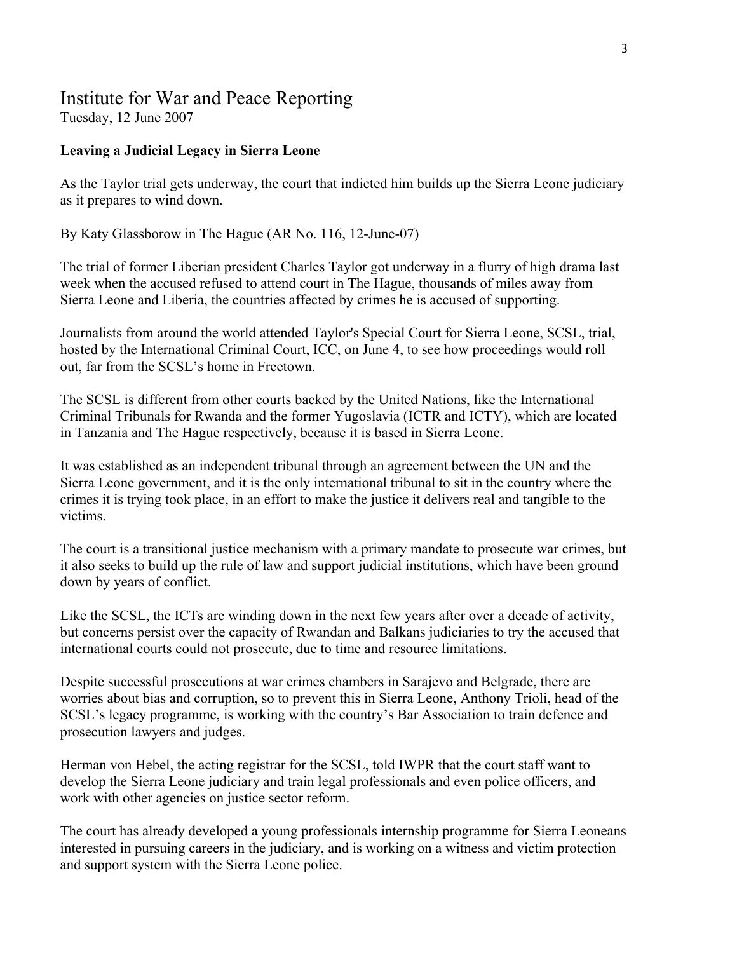# Institute for War and Peace Reporting

Tuesday, 12 June 2007

### **Leaving a Judicial Legacy in Sierra Leone**

As the Taylor trial gets underway, the court that indicted him builds up the Sierra Leone judiciary as it prepares to wind down.

By Katy Glassborow in The Hague (AR No. 116, 12-June-07)

The trial of former Liberian president Charles Taylor got underway in a flurry of high drama last week when the accused refused to attend court in The Hague, thousands of miles away from Sierra Leone and Liberia, the countries affected by crimes he is accused of supporting.

Journalists from around the world attended Taylor's Special Court for Sierra Leone, SCSL, trial, hosted by the International Criminal Court, ICC, on June 4, to see how proceedings would roll out, far from the SCSL's home in Freetown.

The SCSL is different from other courts backed by the United Nations, like the International Criminal Tribunals for Rwanda and the former Yugoslavia (ICTR and ICTY), which are located in Tanzania and The Hague respectively, because it is based in Sierra Leone.

It was established as an independent tribunal through an agreement between the UN and the Sierra Leone government, and it is the only international tribunal to sit in the country where the crimes it is trying took place, in an effort to make the justice it delivers real and tangible to the victims.

The court is a transitional justice mechanism with a primary mandate to prosecute war crimes, but it also seeks to build up the rule of law and support judicial institutions, which have been ground down by years of conflict.

Like the SCSL, the ICTs are winding down in the next few years after over a decade of activity, but concerns persist over the capacity of Rwandan and Balkans judiciaries to try the accused that international courts could not prosecute, due to time and resource limitations.

Despite successful prosecutions at war crimes chambers in Sarajevo and Belgrade, there are worries about bias and corruption, so to prevent this in Sierra Leone, Anthony Trioli, head of the SCSL's legacy programme, is working with the country's Bar Association to train defence and prosecution lawyers and judges.

Herman von Hebel, the acting registrar for the SCSL, told IWPR that the court staff want to develop the Sierra Leone judiciary and train legal professionals and even police officers, and work with other agencies on justice sector reform.

The court has already developed a young professionals internship programme for Sierra Leoneans interested in pursuing careers in the judiciary, and is working on a witness and victim protection and support system with the Sierra Leone police.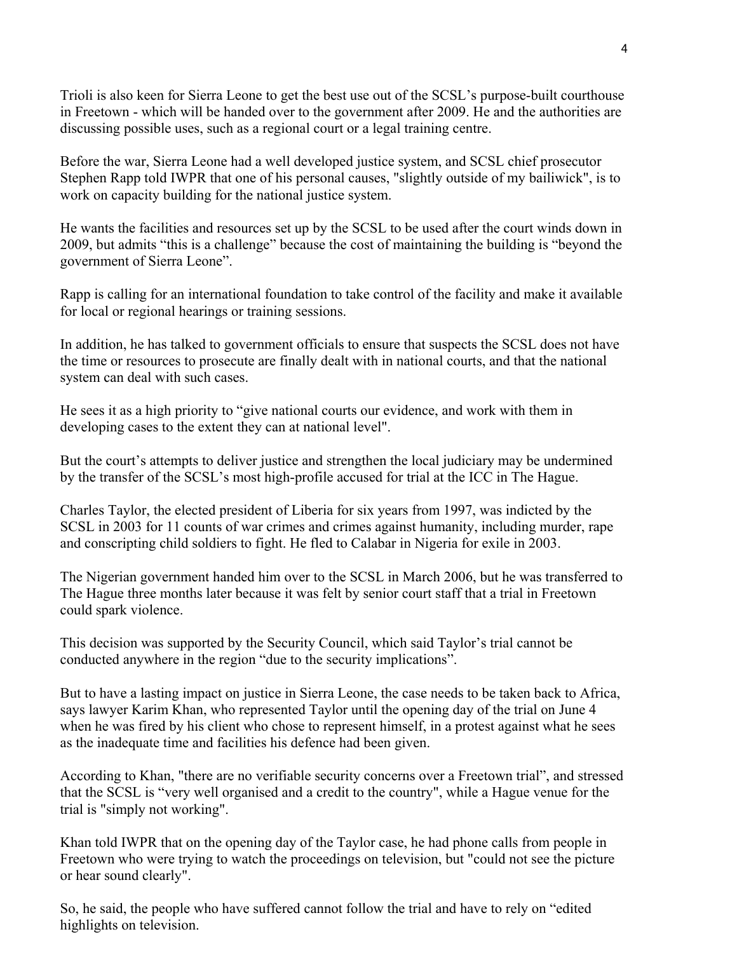Trioli is also keen for Sierra Leone to get the best use out of the SCSL's purpose-built courthouse in Freetown - which will be handed over to the government after 2009. He and the authorities are discussing possible uses, such as a regional court or a legal training centre.

Before the war, Sierra Leone had a well developed justice system, and SCSL chief prosecutor Stephen Rapp told IWPR that one of his personal causes, "slightly outside of my bailiwick", is to work on capacity building for the national justice system.

He wants the facilities and resources set up by the SCSL to be used after the court winds down in 2009, but admits "this is a challenge" because the cost of maintaining the building is "beyond the government of Sierra Leone".

Rapp is calling for an international foundation to take control of the facility and make it available for local or regional hearings or training sessions.

In addition, he has talked to government officials to ensure that suspects the SCSL does not have the time or resources to prosecute are finally dealt with in national courts, and that the national system can deal with such cases.

He sees it as a high priority to "give national courts our evidence, and work with them in developing cases to the extent they can at national level".

But the court's attempts to deliver justice and strengthen the local judiciary may be undermined by the transfer of the SCSL's most high-profile accused for trial at the ICC in The Hague.

Charles Taylor, the elected president of Liberia for six years from 1997, was indicted by the SCSL in 2003 for 11 counts of war crimes and crimes against humanity, including murder, rape and conscripting child soldiers to fight. He fled to Calabar in Nigeria for exile in 2003.

The Nigerian government handed him over to the SCSL in March 2006, but he was transferred to The Hague three months later because it was felt by senior court staff that a trial in Freetown could spark violence.

This decision was supported by the Security Council, which said Taylor's trial cannot be conducted anywhere in the region "due to the security implications".

But to have a lasting impact on justice in Sierra Leone, the case needs to be taken back to Africa, says lawyer Karim Khan, who represented Taylor until the opening day of the trial on June 4 when he was fired by his client who chose to represent himself, in a protest against what he sees as the inadequate time and facilities his defence had been given.

According to Khan, "there are no verifiable security concerns over a Freetown trial", and stressed that the SCSL is "very well organised and a credit to the country", while a Hague venue for the trial is "simply not working".

Khan told IWPR that on the opening day of the Taylor case, he had phone calls from people in Freetown who were trying to watch the proceedings on television, but "could not see the picture or hear sound clearly".

So, he said, the people who have suffered cannot follow the trial and have to rely on "edited highlights on television.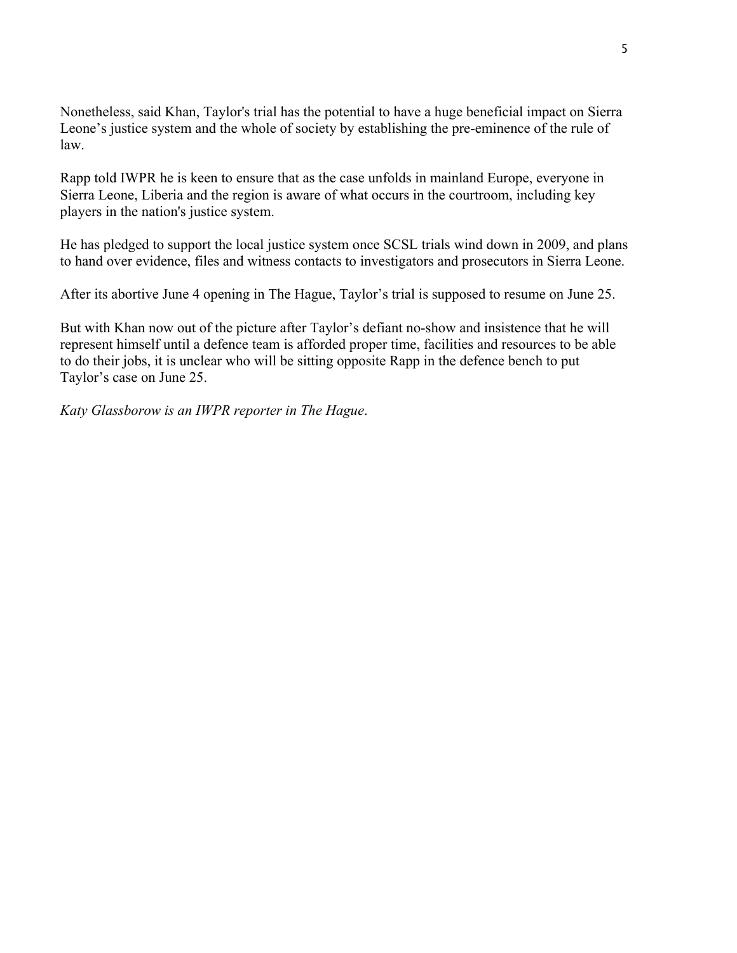Nonetheless, said Khan, Taylor's trial has the potential to have a huge beneficial impact on Sierra Leone's justice system and the whole of society by establishing the pre-eminence of the rule of law.

Rapp told IWPR he is keen to ensure that as the case unfolds in mainland Europe, everyone in Sierra Leone, Liberia and the region is aware of what occurs in the courtroom, including key players in the nation's justice system.

He has pledged to support the local justice system once SCSL trials wind down in 2009, and plans to hand over evidence, files and witness contacts to investigators and prosecutors in Sierra Leone.

After its abortive June 4 opening in The Hague, Taylor's trial is supposed to resume on June 25.

But with Khan now out of the picture after Taylor's defiant no-show and insistence that he will represent himself until a defence team is afforded proper time, facilities and resources to be able to do their jobs, it is unclear who will be sitting opposite Rapp in the defence bench to put Taylor's case on June 25.

*Katy Glassborow is an IWPR reporter in The Hague*.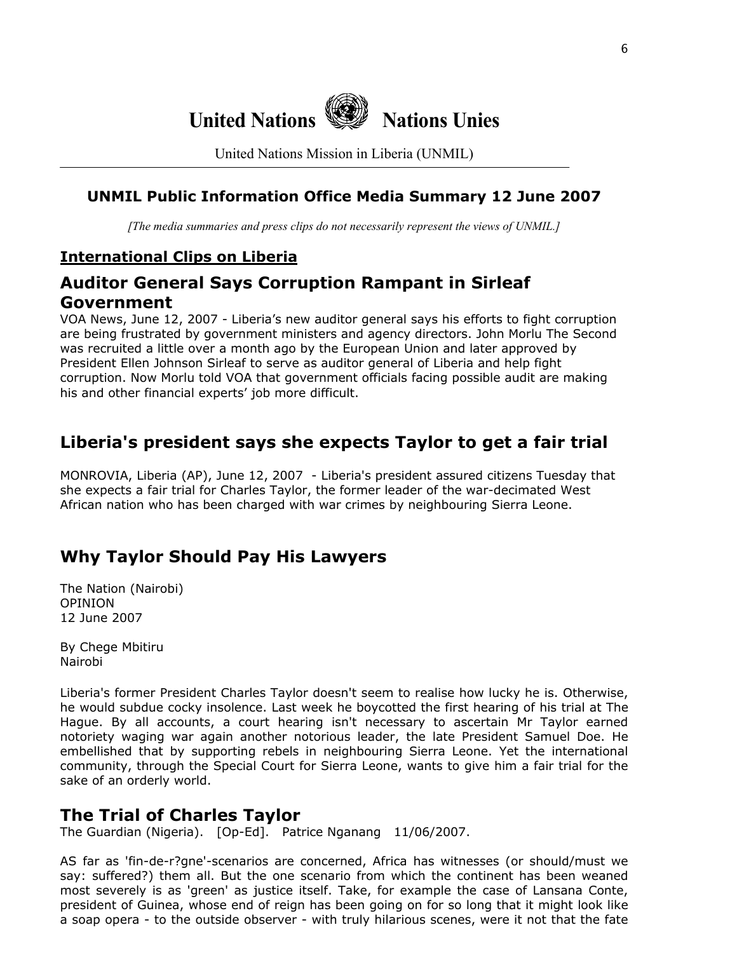

United Nations Mission in Liberia (UNMIL)

### **UNMIL Public Information Office Media Summary 12 June 2007**

*[The media summaries and press clips do not necessarily represent the views of UNMIL.]*

### **International Clips on Liberia**

# **Auditor General Says Corruption Rampant in Sirleaf Government**

VOA News, June 12, 2007 - Liberia's new auditor general says his efforts to fight corruption are being frustrated by government ministers and agency directors. John Morlu The Second was recruited a little over a month ago by the European Union and later approved by President Ellen Johnson Sirleaf to serve as auditor general of Liberia and help fight corruption. Now Morlu told VOA that government officials facing possible audit are making his and other financial experts' job more difficult.

# **Liberia's president says she expects Taylor to get a fair trial**

MONROVIA, Liberia (AP), June 12, 2007 - Liberia's president assured citizens Tuesday that she expects a fair trial for Charles Taylor, the former leader of the war-decimated West African nation who has been charged with war crimes by neighbouring Sierra Leone.

# **Why Taylor Should Pay His Lawyers**

The Nation (Nairobi) OPINION 12 June 2007

By Chege Mbitiru Nairobi

Liberia's former President Charles Taylor doesn't seem to realise how lucky he is. Otherwise, he would subdue cocky insolence. Last week he boycotted the first hearing of his trial at The Hague. By all accounts, a court hearing isn't necessary to ascertain Mr Taylor earned notoriety waging war again another notorious leader, the late President Samuel Doe. He embellished that by supporting rebels in neighbouring Sierra Leone. Yet the international community, through the Special Court for Sierra Leone, wants to give him a fair trial for the sake of an orderly world.

### **The Trial of Charles Taylor**

The Guardian (Nigeria). [Op-Ed]. Patrice Nganang 11/06/2007.

AS far as 'fin-de-r?gne'-scenarios are concerned, Africa has witnesses (or should/must we say: suffered?) them all. But the one scenario from which the continent has been weaned most severely is as 'green' as justice itself. Take, for example the case of Lansana Conte, president of Guinea, whose end of reign has been going on for so long that it might look like a soap opera - to the outside observer - with truly hilarious scenes, were it not that the fate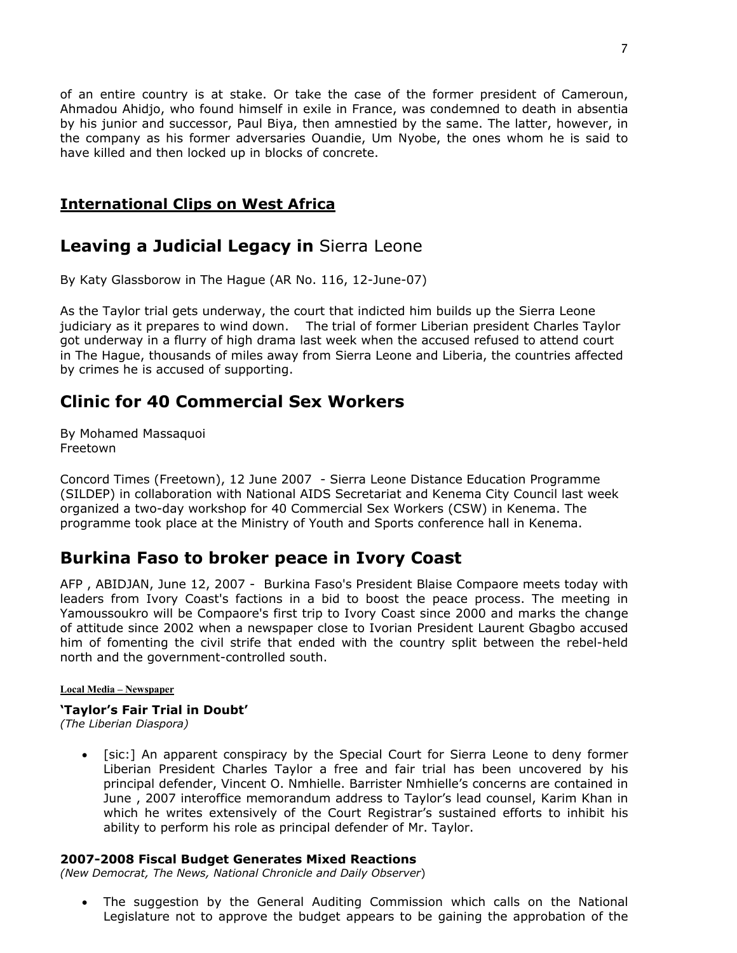of an entire country is at stake. Or take the case of the former president of Cameroun, Ahmadou Ahidjo, who found himself in exile in France, was condemned to death in absentia by his junior and successor, Paul Biya, then amnestied by the same. The latter, however, in the company as his former adversaries Ouandie, Um Nyobe, the ones whom he is said to have killed and then locked up in blocks of concrete.

### **International Clips on West Africa**

# **Leaving a Judicial Legacy in** Sierra Leone

By Katy Glassborow in The Hague (AR No. 116, 12-June-07)

As the Taylor trial gets underway, the court that indicted him builds up the Sierra Leone judiciary as it prepares to wind down. The trial of former Liberian president Charles Taylor got underway in a flurry of high drama last week when the accused refused to attend court in The Hague, thousands of miles away from Sierra Leone and Liberia, the countries affected by crimes he is accused of supporting.

# **Clinic for 40 Commercial Sex Workers**

By Mohamed Massaquoi Freetown

Concord Times (Freetown), 12 June 2007 - Sierra Leone Distance Education Programme (SILDEP) in collaboration with National AIDS Secretariat and Kenema City Council last week organized a two-day workshop for 40 Commercial Sex Workers (CSW) in Kenema. The programme took place at the Ministry of Youth and Sports conference hall in Kenema.

# **Burkina Faso to broker peace in Ivory Coast**

AFP , ABIDJAN, June 12, 2007 - Burkina Faso's President Blaise Compaore meets today with leaders from Ivory Coast's factions in a bid to boost the peace process. The meeting in Yamoussoukro will be Compaore's first trip to Ivory Coast since 2000 and marks the change of attitude since 2002 when a newspaper close to Ivorian President Laurent Gbagbo accused him of fomenting the civil strife that ended with the country split between the rebel-held north and the government-controlled south.

#### **Local Media – Newspaper**

#### **'Taylor's Fair Trial in Doubt'**

*(The Liberian Diaspora)* 

• [sic:] An apparent conspiracy by the Special Court for Sierra Leone to deny former Liberian President Charles Taylor a free and fair trial has been uncovered by his principal defender, Vincent O. Nmhielle. Barrister Nmhielle's concerns are contained in June , 2007 interoffice memorandum address to Taylor's lead counsel, Karim Khan in which he writes extensively of the Court Registrar's sustained efforts to inhibit his ability to perform his role as principal defender of Mr. Taylor.

#### **2007-2008 Fiscal Budget Generates Mixed Reactions**

*(New Democrat, The News, National Chronicle and Daily Observer*)

• The suggestion by the General Auditing Commission which calls on the National Legislature not to approve the budget appears to be gaining the approbation of the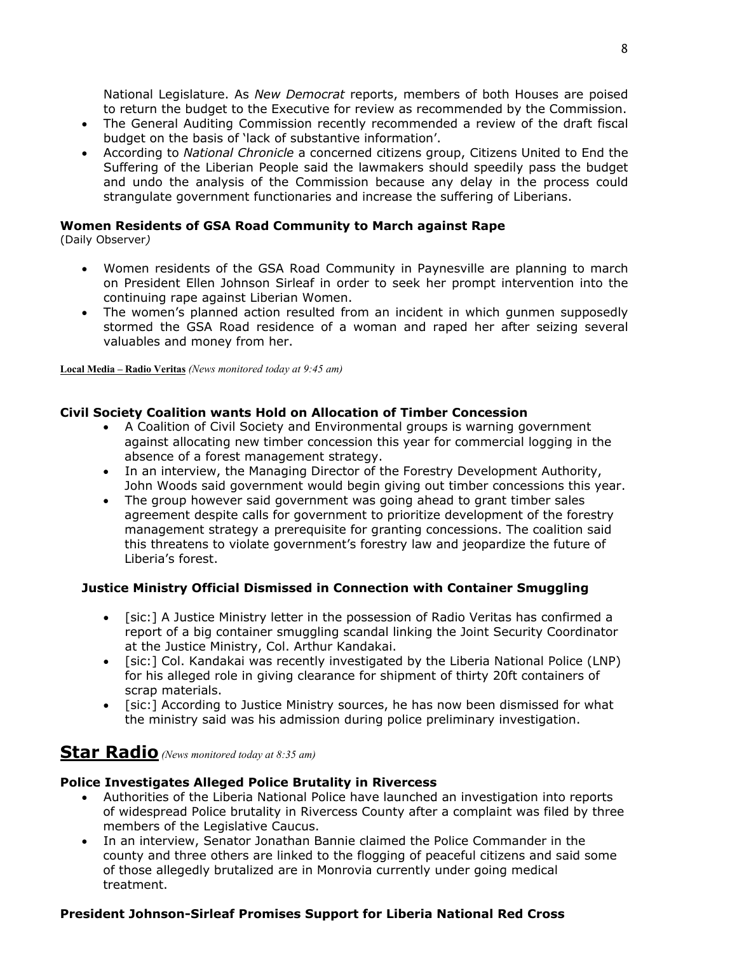National Legislature. As *New Democrat* reports, members of both Houses are poised to return the budget to the Executive for review as recommended by the Commission.

- The General Auditing Commission recently recommended a review of the draft fiscal budget on the basis of 'lack of substantive information'.
- According to *National Chronicle* a concerned citizens group, Citizens United to End the Suffering of the Liberian People said the lawmakers should speedily pass the budget and undo the analysis of the Commission because any delay in the process could strangulate government functionaries and increase the suffering of Liberians.

### **Women Residents of GSA Road Community to March against Rape**

(Daily Observer*)* 

- Women residents of the GSA Road Community in Paynesville are planning to march on President Ellen Johnson Sirleaf in order to seek her prompt intervention into the continuing rape against Liberian Women.
- The women's planned action resulted from an incident in which gunmen supposedly stormed the GSA Road residence of a woman and raped her after seizing several valuables and money from her.

**Local Media – Radio Veritas** *(News monitored today at 9:45 am)*

# **Civil Society Coalition wants Hold on Allocation of Timber Concession**

- A Coalition of Civil Society and Environmental groups is warning government against allocating new timber concession this year for commercial logging in the absence of a forest management strategy.
- In an interview, the Managing Director of the Forestry Development Authority, John Woods said government would begin giving out timber concessions this year.
- The group however said government was going ahead to grant timber sales agreement despite calls for government to prioritize development of the forestry management strategy a prerequisite for granting concessions. The coalition said this threatens to violate government's forestry law and jeopardize the future of Liberia's forest.

#### **Justice Ministry Official Dismissed in Connection with Container Smuggling**

- [sic:] A Justice Ministry letter in the possession of Radio Veritas has confirmed a report of a big container smuggling scandal linking the Joint Security Coordinator at the Justice Ministry, Col. Arthur Kandakai.
- [sic:] Col. Kandakai was recently investigated by the Liberia National Police (LNP) for his alleged role in giving clearance for shipment of thirty 20ft containers of scrap materials.
- [sic:] According to Justice Ministry sources, he has now been dismissed for what the ministry said was his admission during police preliminary investigation.

# **Star Radio** *(News monitored today at 8:35 am)*

#### **Police Investigates Alleged Police Brutality in Rivercess**

- Authorities of the Liberia National Police have launched an investigation into reports of widespread Police brutality in Rivercess County after a complaint was filed by three members of the Legislative Caucus.
- In an interview, Senator Jonathan Bannie claimed the Police Commander in the county and three others are linked to the flogging of peaceful citizens and said some of those allegedly brutalized are in Monrovia currently under going medical treatment.

#### **President Johnson-Sirleaf Promises Support for Liberia National Red Cross**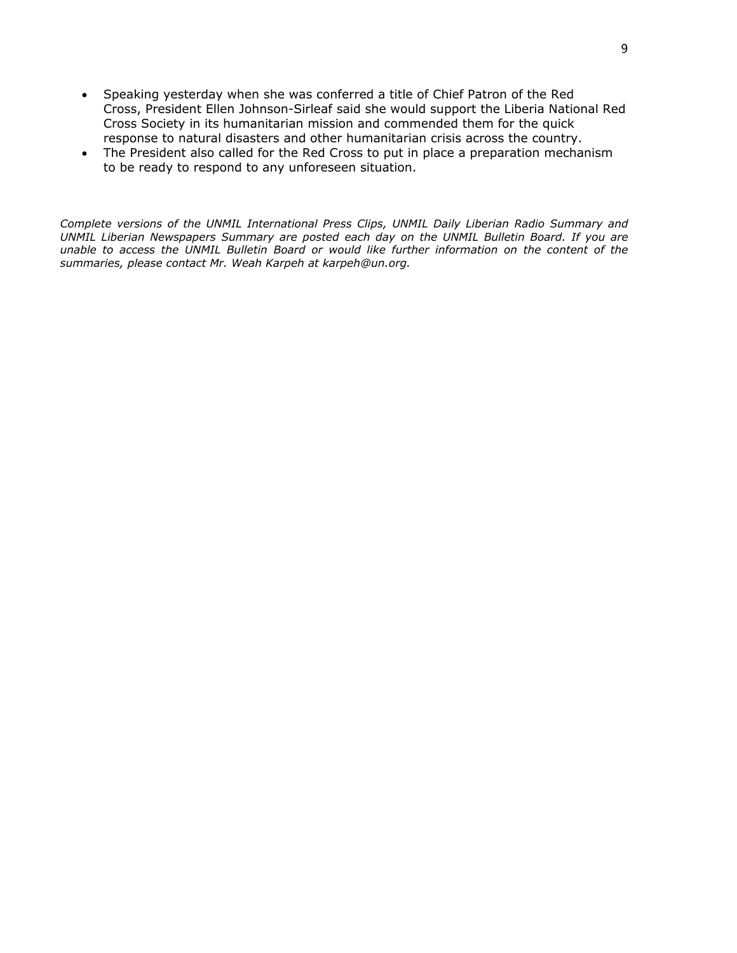- Speaking yesterday when she was conferred a title of Chief Patron of the Red Cross, President Ellen Johnson-Sirleaf said she would support the Liberia National Red Cross Society in its humanitarian mission and commended them for the quick response to natural disasters and other humanitarian crisis across the country.
- The President also called for the Red Cross to put in place a preparation mechanism to be ready to respond to any unforeseen situation.

*Complete versions of the UNMIL International Press Clips, UNMIL Daily Liberian Radio Summary and UNMIL Liberian Newspapers Summary are posted each day on the UNMIL Bulletin Board. If you are unable to access the UNMIL Bulletin Board or would like further information on the content of the summaries, please contact Mr. Weah Karpeh at karpeh@un.org.*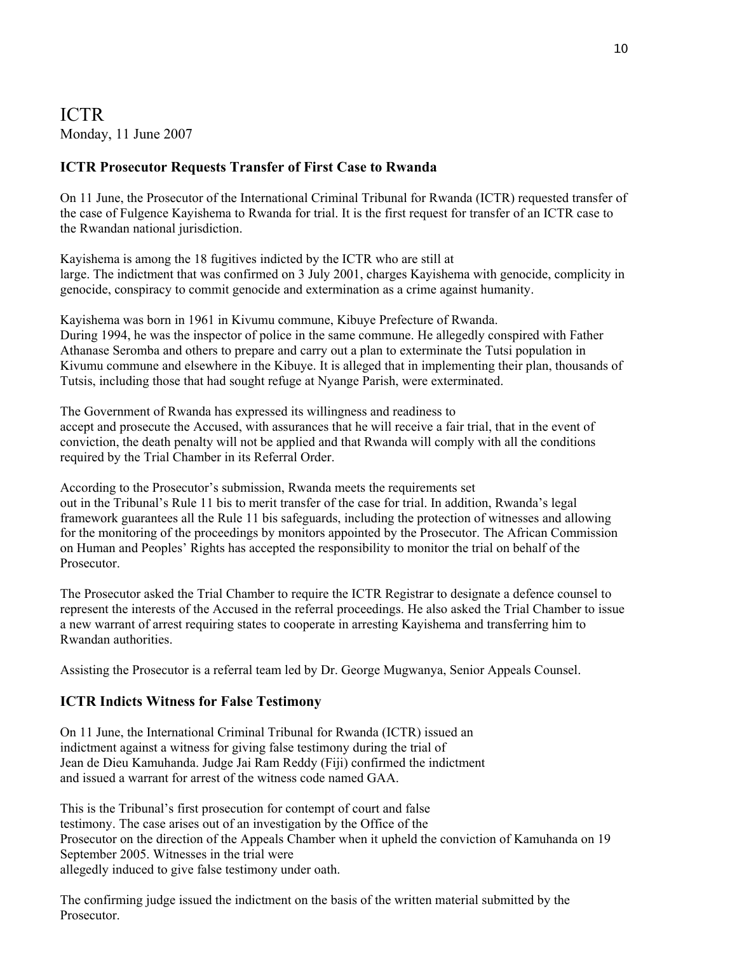# ICTR Monday, 11 June 2007

### **ICTR Prosecutor Requests Transfer of First Case to Rwanda**

On 11 June, the Prosecutor of the International Criminal Tribunal for Rwanda (ICTR) requested transfer of the case of Fulgence Kayishema to Rwanda for trial. It is the first request for transfer of an ICTR case to the Rwandan national jurisdiction.

Kayishema is among the 18 fugitives indicted by the ICTR who are still at large. The indictment that was confirmed on 3 July 2001, charges Kayishema with genocide, complicity in genocide, conspiracy to commit genocide and extermination as a crime against humanity.

Kayishema was born in 1961 in Kivumu commune, Kibuye Prefecture of Rwanda. During 1994, he was the inspector of police in the same commune. He allegedly conspired with Father Athanase Seromba and others to prepare and carry out a plan to exterminate the Tutsi population in Kivumu commune and elsewhere in the Kibuye. It is alleged that in implementing their plan, thousands of Tutsis, including those that had sought refuge at Nyange Parish, were exterminated.

The Government of Rwanda has expressed its willingness and readiness to accept and prosecute the Accused, with assurances that he will receive a fair trial, that in the event of conviction, the death penalty will not be applied and that Rwanda will comply with all the conditions required by the Trial Chamber in its Referral Order.

According to the Prosecutor's submission, Rwanda meets the requirements set out in the Tribunal's Rule 11 bis to merit transfer of the case for trial. In addition, Rwanda's legal framework guarantees all the Rule 11 bis safeguards, including the protection of witnesses and allowing for the monitoring of the proceedings by monitors appointed by the Prosecutor. The African Commission on Human and Peoples' Rights has accepted the responsibility to monitor the trial on behalf of the Prosecutor.

The Prosecutor asked the Trial Chamber to require the ICTR Registrar to designate a defence counsel to represent the interests of the Accused in the referral proceedings. He also asked the Trial Chamber to issue a new warrant of arrest requiring states to cooperate in arresting Kayishema and transferring him to Rwandan authorities.

Assisting the Prosecutor is a referral team led by Dr. George Mugwanya, Senior Appeals Counsel.

### **ICTR Indicts Witness for False Testimony**

On 11 June, the International Criminal Tribunal for Rwanda (ICTR) issued an indictment against a witness for giving false testimony during the trial of Jean de Dieu Kamuhanda. Judge Jai Ram Reddy (Fiji) confirmed the indictment and issued a warrant for arrest of the witness code named GAA.

This is the Tribunal's first prosecution for contempt of court and false testimony. The case arises out of an investigation by the Office of the Prosecutor on the direction of the Appeals Chamber when it upheld the conviction of Kamuhanda on 19 September 2005. Witnesses in the trial were allegedly induced to give false testimony under oath.

The confirming judge issued the indictment on the basis of the written material submitted by the Prosecutor.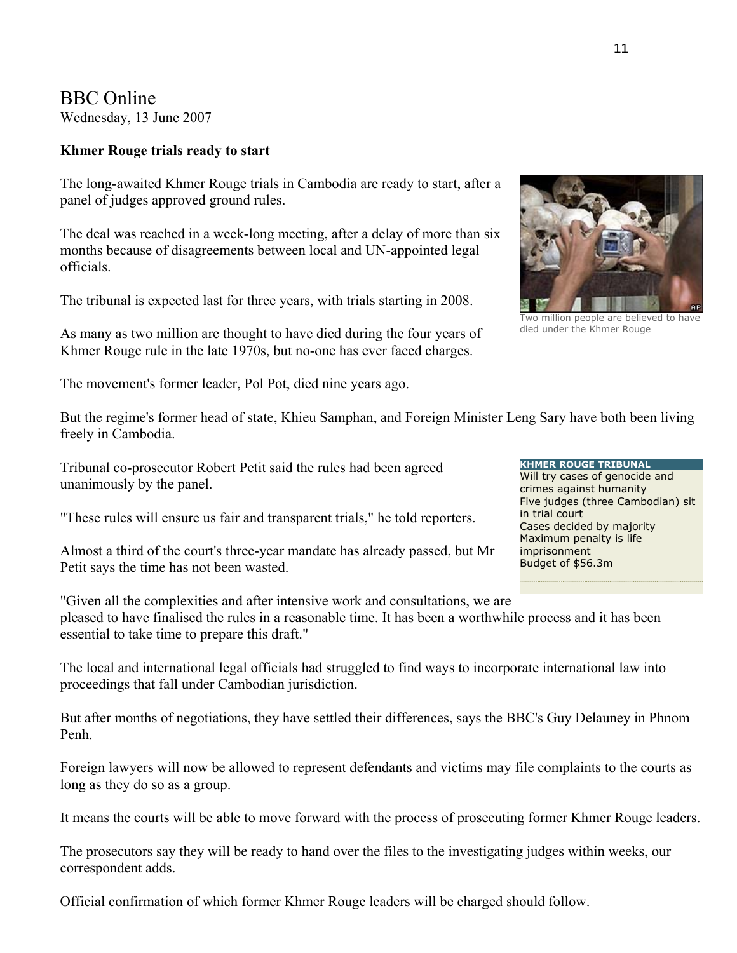# BBC Online

Wednesday, 13 June 2007

### **Khmer Rouge trials ready to start**

The long-awaited Khmer Rouge trials in Cambodia are ready to start, after a panel of judges approved ground rules.

The deal was reached in a week-long meeting, after a delay of more than six months because of disagreements between local and UN-appointed legal officials.

The tribunal is expected last for three years, with trials starting in 2008.

As many as two million are thought to have died during the four years of Khmer Rouge rule in the late 1970s, but no-one has ever faced charges.

The movement's former leader, Pol Pot, died nine years ago.

But the regime's former head of state, Khieu Samphan, and Foreign Minister Leng Sary have both been living freely in Cambodia.

Tribunal co-prosecutor Robert Petit said the rules had been agreed unanimously by the panel.

"These rules will ensure us fair and transparent trials," he told reporters.

Almost a third of the court's three-year mandate has already passed, but Mr Petit says the time has not been wasted.

"Given all the complexities and after intensive work and consultations, we are pleased to have finalised the rules in a reasonable time. It has been a worthwhile process and it has been essential to take time to prepare this draft."

The local and international legal officials had struggled to find ways to incorporate international law into proceedings that fall under Cambodian jurisdiction.

But after months of negotiations, they have settled their differences, says the BBC's Guy Delauney in Phnom Penh.

Foreign lawyers will now be allowed to represent defendants and victims may file complaints to the courts as long as they do so as a group.

It means the courts will be able to move forward with the process of prosecuting former Khmer Rouge leaders.

The prosecutors say they will be ready to hand over the files to the investigating judges within weeks, our correspondent adds.

Official confirmation of which former Khmer Rouge leaders will be charged should follow.

Two million people are believed to have died under the Khmer Rouge



11

crimes against humanity Five judges (three Cambodian) sit in trial court Cases decided by majority Maximum penalty is life imprisonment Budget of \$56.3m